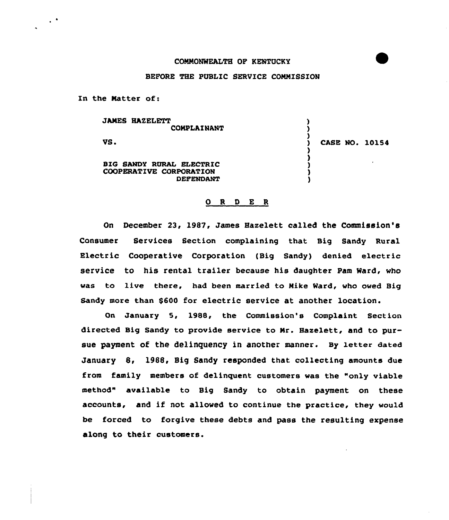## COMMONWEALTH OF KENTUCKY

## BEFORE THE PUBLIC SERVICE COMMISSION

In the Matter of:

 $\ddot{\phantom{1}}$  .

JAMES HAZELETT ) **COMPLAINANT** ) )<br>) VS. ) CASE NO. 101S4 ) ) BIG SANDY RURAL ELECTRIC ) COOPERATIVE CORPORATION ) DEFENDANT )

## ORDER

On December 23, l987, James Haselett called the Commission's Consumer Services Section complaining that Big Sandy Rural Electric Cooperative Corporation (Big Sandy) denied electric service to his rental trailer because his daughter Pam Nard, who was to live there, had been married to Mike Nard, who owed Big Sandy more than 8600 for electric service at another location.

On January 5, 1988, the Commission's Complaint Section directed Big Sandy to provide service to Mr. Haxelett, and to pursue payment of the delinquency in another manner. By 1etter dated January 8, 1988, Big Sandy responded that collecting amounts due from family members of delinquent customers was the "only viable method" available to Big Sandy to obtain payment on these accounts, and if not allowed to continue the practice, they would be forced to forgive these debts and pass the resulting expense along to their customers.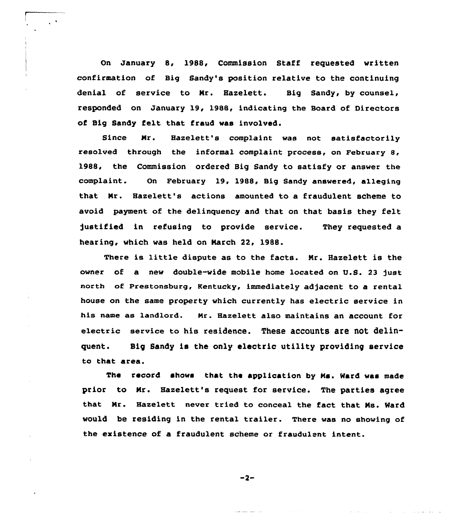On January 8, 1988, Commission Staff requested written confirmation of Big Sandy's position relative to the continuing denial of service to Nr. Hazelett. Big Sandy, by counsel, responded on January 19, 1988, indicating the Board of Directors of Big Sandy felt that fraud was involved.

Since Mr. Hazelett's complaint was not satisfactorily resolved through the informal complaint process, on February 8, 1988, the Commission ordered Big Sandy to satisfy or answer the complaint. On February 19, 1988, Big Sandy answered, alleging that Nr. Hazelett's actions amounted to a fraudulent scheme to avoid payment of the delinquency and that on that basis they felt )ustified in refusing to provide service. They requested a hearing, which was held on Narch 22, 1988.

There is little dispute as to the facts. Mr. Hazelett is the owner of a new double-wide mobile home located on U.S. 23 just north of Prestonsburg, Kentucky, immediately adjacent to a rental house on the same property which currently has electric service in his name as landlord. Nr. Hazelett also maintains an account for electric service to his residence. These accounts are not delinquent. Big Sandy is the only electric utility providing service to that area.

The record shows that the application by Ms. Ward was made prior to Nr. Hazelett's request for service. The parties agree that Mr. Hazelett never tried to conceal the fact that Ns. Ward would be residing in the rental trailer. There was no showing of the existence of a fraudulent scheme or fraudulent intent.

 $-2-$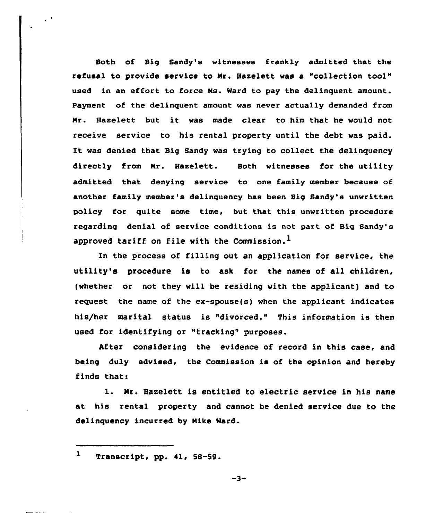Both of Big Sandy's witnesses frankly admitted that the refusal to provide service to Nr. Hazelett was a "collection tool" used in an effort to force Hs. Ward to pay the delinquent amount. Payment of the delinquent amount was never actually demanded from Nr. Hazelett but it was made clear to him that he would not receive service to his rental property until the debt was paid. It was denied that Big Sandy was trying to collect the delinquency directly from Nr. Hazelett. Both witnesses for the utility admitted that denying service to one family member because of another family member's delinquency has been Big Sandy's unwritten policy for quite some time, but that this unwritten procedure regarding denial of service conditions is not part of Big Sandy's approved tariff on file with the Commission.<sup>1</sup>

In the process of filling out an application for service, the utility's procedure is to ask for the names of all children, (whether or not they will be residing with the applicant) and to request the name of the ex-spouse(s) when the applicant indicates his/her marital status is "divorced." This information is then used for identifying or "tracking" purposes.

After considering the evidence of record in this case, and being duly advised, the Commission is of the opinion and hereby finds that:

1. Nr. Hazelett is entitled to electric service in his name at his rental property and cannot be denied service due to the delinquency incurred by Nike Ward.

 $\mathbf{1}$ Transcript, pp. 41, 58-59.

 $\mathcal{L}^{\mathcal{A}}$